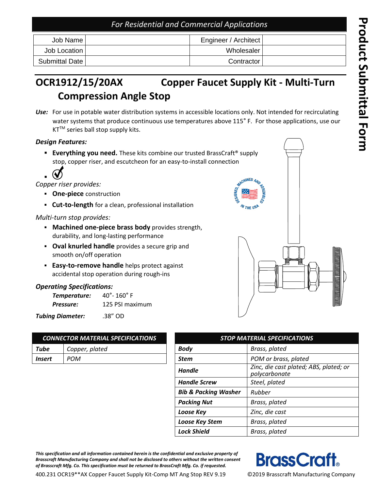### *For Residential and Commercial Applications*

| Job Name I     | Engineer / Architect |  |
|----------------|----------------------|--|
| Job Location   | Wholesaler           |  |
| Submittal Date | Contractor           |  |

#### **OCR1912 /15 /20AX Copper Faucet Supply Kit - Multi -Turn Compression Angle Stop**

*Use:* For use in potable water distribution systems in accessible locations only. Not intended for recirculating water systems that produce continuous use temperatures above 115° F. For those applications, use our  $KT^{TM}$  series ball stop supply kits.

#### *Design Features:*

- **Everything you need.** These kits combine our trusted BrassCraft® supply stop, copper riser, and escutcheon for an easy -to -install connection
- $\mathbf W$ ▪

*Copper riser provides:*

- **One -piece** construction
- **Cut-to-length** for a clean, professional installation

#### *Multi - turn stop provides:*

- **BEAD Machined one-piece brass body** provides strength, durability , and long -lasting performance
- **Oval knurled handle** provides a secure grip and smooth on/off operation
- **Easy-to-remove handle** helps protect against accidental stop operation during rough -ins

#### *Operating Specifications:*

| Temperature: | $40^{\circ}$ - 160 $^{\circ}$ F |  |  |
|--------------|---------------------------------|--|--|
| Pressure:    | 125 PSI maximum                 |  |  |

*Tubing Diameter:* .38" OD

| <b>CONNECTOR MATERIAL SPECIFICATIONS</b> |                |  |  |
|------------------------------------------|----------------|--|--|
| Tube                                     | Copper, plated |  |  |
| <b>Insert</b>                            | POM            |  |  |
|                                          |                |  |  |

| <b>CONNECTOR MATERIAL SPECIFICATIONS</b> |                | <b>STOP MATERIAL SPECIFICATIONS</b> |                                                         |  |
|------------------------------------------|----------------|-------------------------------------|---------------------------------------------------------|--|
| Tube                                     | Copper, plated | <b>Body</b>                         | Brass, plated                                           |  |
| Insert                                   | <b>POM</b>     | POM or brass, plated<br><b>Stem</b> |                                                         |  |
|                                          |                | <b>Handle</b>                       | Zinc, die cast plated; ABS, plated; or<br>polycarbonate |  |
|                                          |                | <b>Handle Screw</b>                 | Steel, plated                                           |  |
|                                          |                | <b>Bib &amp; Packing Washer</b>     | Rubber                                                  |  |
|                                          |                | <b>Packing Nut</b>                  | Brass, plated                                           |  |
|                                          |                | Loose Key                           | Zinc, die cast                                          |  |
|                                          |                | Loose Key Stem                      | Brass, plated                                           |  |
|                                          |                | <b>Lock Shield</b>                  | Brass, plated                                           |  |

*This specification and all information contained herein is the confidential and exclusive property of Brasscraft Manufacturing Company and shall not be disclosed to others without the written consent of Brasscraft Mfg. Co. This specification must be returned to BrassCraft Mfg. Co. if requested.*



400.231 OCR19\*\*AX Copper Faucet Supply Kit -Comp MT Ang Stop REV 9.19

©2019 Brasscraft Manufacturing Company

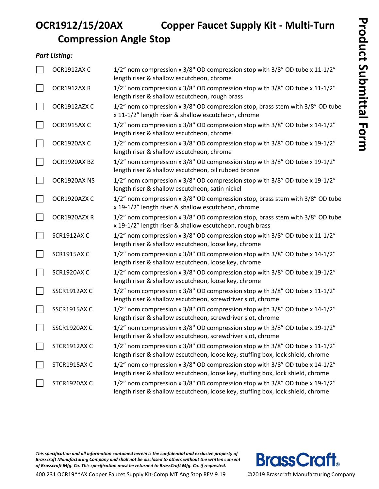### **OCR1912/15/20AX Copper Faucet Supply Kit - Multi-Turn Compression Angle Stop**

#### *Part Listing:*

| OCR1912AX C         | 1/2" nom compression x 3/8" OD compression stop with 3/8" OD tube x 11-1/2"<br>length riser & shallow escutcheon, chrome                                       |
|---------------------|----------------------------------------------------------------------------------------------------------------------------------------------------------------|
| OCR1912AXR          | 1/2" nom compression x 3/8" OD compression stop with 3/8" OD tube x 11-1/2"<br>length riser & shallow escutcheon, rough brass                                  |
| OCR1912AZX C        | 1/2" nom compression x 3/8" OD compression stop, brass stem with 3/8" OD tube<br>x 11-1/2" length riser & shallow escutcheon, chrome                           |
| OCR1915AXC          | 1/2" nom compression x 3/8" OD compression stop with 3/8" OD tube x 14-1/2"<br>length riser & shallow escutcheon, chrome                                       |
| OCR1920AX C         | 1/2" nom compression x 3/8" OD compression stop with 3/8" OD tube x 19-1/2"<br>length riser & shallow escutcheon, chrome                                       |
| OCR1920AX BZ        | 1/2" nom compression x 3/8" OD compression stop with 3/8" OD tube x 19-1/2"<br>length riser & shallow escutcheon, oil rubbed bronze                            |
| OCR1920AX NS        | 1/2" nom compression x 3/8" OD compression stop with 3/8" OD tube x 19-1/2"<br>length riser & shallow escutcheon, satin nickel                                 |
| OCR1920AZX C        | 1/2" nom compression x 3/8" OD compression stop, brass stem with 3/8" OD tube<br>x 19-1/2" length riser & shallow escutcheon, chrome                           |
| OCR1920AZXR         | 1/2" nom compression x 3/8" OD compression stop, brass stem with 3/8" OD tube<br>x 19-1/2" length riser & shallow escutcheon, rough brass                      |
| <b>SCR1912AX C</b>  | 1/2" nom compression x 3/8" OD compression stop with 3/8" OD tube x 11-1/2"<br>length riser & shallow escutcheon, loose key, chrome                            |
| <b>SCR1915AX C</b>  | 1/2" nom compression x 3/8" OD compression stop with 3/8" OD tube x 14-1/2"<br>length riser & shallow escutcheon, loose key, chrome                            |
| <b>SCR1920AX C</b>  | 1/2" nom compression x 3/8" OD compression stop with 3/8" OD tube x 19-1/2"<br>length riser & shallow escutcheon, loose key, chrome                            |
| SSCR1912AX C        | 1/2" nom compression x 3/8" OD compression stop with 3/8" OD tube x 11-1/2"<br>length riser & shallow escutcheon, screwdriver slot, chrome                     |
| <b>SSCR1915AX C</b> | 1/2" nom compression x 3/8" OD compression stop with 3/8" OD tube x 14-1/2"<br>length riser & shallow escutcheon, screwdriver slot, chrome                     |
| SSCR1920AX C        | 1/2" nom compression x 3/8" OD compression stop with 3/8" OD tube x 19-1/2"<br>length riser & shallow escutcheon, screwdriver slot, chrome                     |
| STCR1912AX C        | 1/2" nom compression x 3/8" OD compression stop with 3/8" OD tube x 11-1/2"<br>length riser & shallow escutcheon, loose key, stuffing box, lock shield, chrome |
| STCR1915AX C        | 1/2" nom compression x 3/8" OD compression stop with 3/8" OD tube x 14-1/2"<br>length riser & shallow escutcheon, loose key, stuffing box, lock shield, chrome |
| STCR1920AX C        | 1/2" nom compression x 3/8" OD compression stop with 3/8" OD tube x 19-1/2"<br>length riser & shallow escutcheon, loose key, stuffing box, lock shield, chrome |

*This specification and all information contained herein is the confidential and exclusive property of Brasscraft Manufacturing Company and shall not be disclosed to others without the written consent of Brasscraft Mfg. Co. This specification must be returned to BrassCraft Mfg. Co. if requested.*

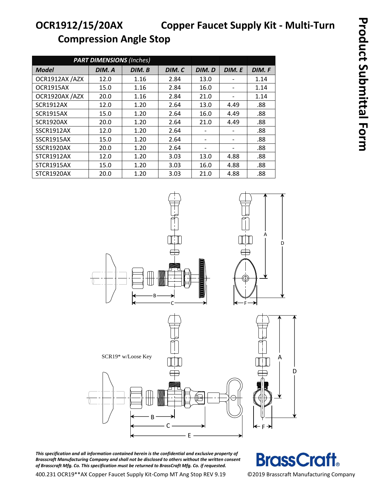# **OCR1912/15/20AX Copper Faucet Supply Kit - Multi-Turn Compression Angle Stop**

| <b>PART DIMENSIONS (Inches)</b> |        |        |        |        |                              |        |
|---------------------------------|--------|--------|--------|--------|------------------------------|--------|
| <b>Model</b>                    | DIM. A | DIM. B | DIM. C | DIM. D | DIM. E                       | DIM. F |
| OCR1912AX /AZX                  | 12.0   | 1.16   | 2.84   | 13.0   |                              | 1.14   |
| OCR1915AX                       | 15.0   | 1.16   | 2.84   | 16.0   | $\overline{\phantom{a}}$     | 1.14   |
| OCR1920AX /AZX                  | 20.0   | 1.16   | 2.84   | 21.0   | $\qquad \qquad \blacksquare$ | 1.14   |
| <b>SCR1912AX</b>                | 12.0   | 1.20   | 2.64   | 13.0   | 4.49                         | .88    |
| <b>SCR1915AX</b>                | 15.0   | 1.20   | 2.64   | 16.0   | 4.49                         | .88    |
| <b>SCR1920AX</b>                | 20.0   | 1.20   | 2.64   | 21.0   | 4.49                         | .88    |
| SSCR1912AX                      | 12.0   | 1.20   | 2.64   |        | $\qquad \qquad \blacksquare$ | .88    |
| SSCR1915AX                      | 15.0   | 1.20   | 2.64   |        | -                            | .88    |
| SSCR1920AX                      | 20.0   | 1.20   | 2.64   |        |                              | .88    |
| STCR1912AX                      | 12.0   | 1.20   | 3.03   | 13.0   | 4.88                         | .88    |
| STCR1915AX                      | 15.0   | 1.20   | 3.03   | 16.0   | 4.88                         | .88    |
| STCR1920AX                      | 20.0   | 1.20   | 3.03   | 21.0   | 4.88                         | .88    |



*This specification and all information contained herein is the confidential and exclusive property of Brasscraft Manufacturing Company and shall not be disclosed to others without the written consent of Brasscraft Mfg. Co. This specification must be returned to BrassCraft Mfg. Co. if requested.*

**BrassCraft** 

400.231 OCR19\*\*AX Copper Faucet Supply Kit-Comp MT Ang Stop REV 9.19 ©2019 Brasscraft Manufacturing Company